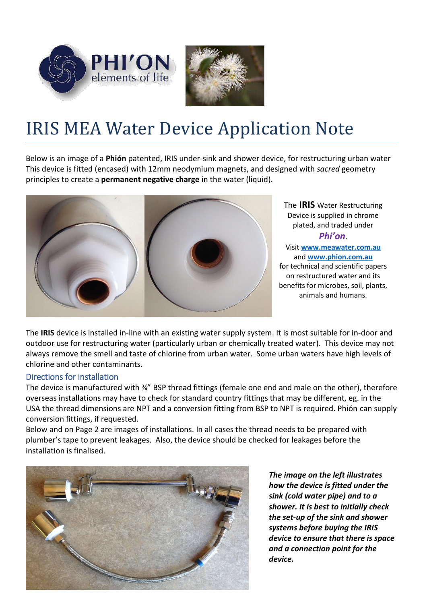



## IRIS MEA Water Device Application Note

Below is an image of a **Phión** patented, IRIS under-sink and shower device, for restructuring urban water This device is fitted (encased) with 12mm neodymium magnets, and designed with *sacred* geometry principles to create a **permanent negative charge** in the water (liquid).



The **IRIS** Water Restructuring Device is supplied in chrome plated, and traded under *Phi'on*. Visit **[www.meawater.com.au](http://www.meawater.com.au/)** and **[www.phion.com.au](http://www.phion.com.au/)**  for technical and scientific papers on restructured water and its benefits for microbes, soil, plants, animals and humans.

The **IRIS** device is installed in-line with an existing water supply system. It is most suitable for in-door and outdoor use for restructuring water (particularly urban or chemically treated water). This device may not always remove the smell and taste of chlorine from urban water. Some urban waters have high levels of chlorine and other contaminants.

## Directions for installation

The device is manufactured with ¾" BSP thread fittings (female one end and male on the other), therefore overseas installations may have to check for standard country fittings that may be different, eg. in the USA the thread dimensions are NPT and a conversion fitting from BSP to NPT is required. Phión can supply conversion fittings, if requested.

Below and on Page 2 are images of installations. In all cases the thread needs to be prepared with plumber's tape to prevent leakages. Also, the device should be checked for leakages before the installation is finalised.



*The image on the left illustrates how the device is fitted under the sink (cold water pipe) and to a shower. It is best to initially check the set-up of the sink and shower systems before buying the IRIS device to ensure that there is space and a connection point for the device.*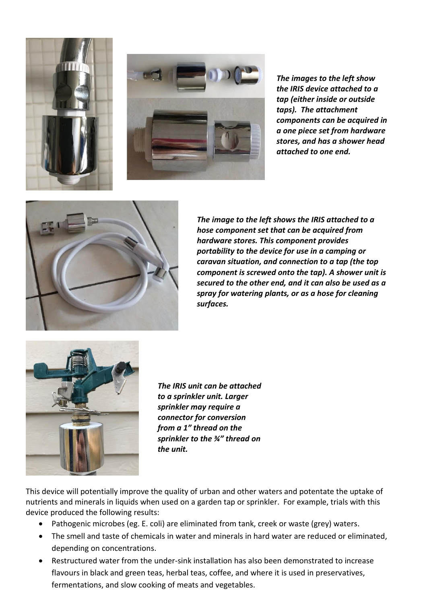



*The images to the left show the IRIS device attached to a tap (either inside or outside taps). The attachment components can be acquired in a one piece set from hardware stores, and has a shower head attached to one end.* 



*The image to the left shows the IRIS attached to a hose component set that can be acquired from hardware stores. This component provides portability to the device for use in a camping or caravan situation, and connection to a tap (the top component is screwed onto the tap). A shower unit is secured to the other end, and it can also be used as a spray for watering plants, or as a hose for cleaning surfaces.* 



*The IRIS unit can be attached to a sprinkler unit. Larger sprinkler may require a connector for conversion from a 1" thread on the sprinkler to the ¾" thread on the unit.*

This device will potentially improve the quality of urban and other waters and potentate the uptake of nutrients and minerals in liquids when used on a garden tap or sprinkler. For example, trials with this device produced the following results:

- Pathogenic microbes (eg. E. coli) are eliminated from tank, creek or waste (grey) waters.
- The smell and taste of chemicals in water and minerals in hard water are reduced or eliminated, depending on concentrations.
- Restructured water from the under-sink installation has also been demonstrated to increase flavours in black and green teas, herbal teas, coffee, and where it is used in preservatives, fermentations, and slow cooking of meats and vegetables.